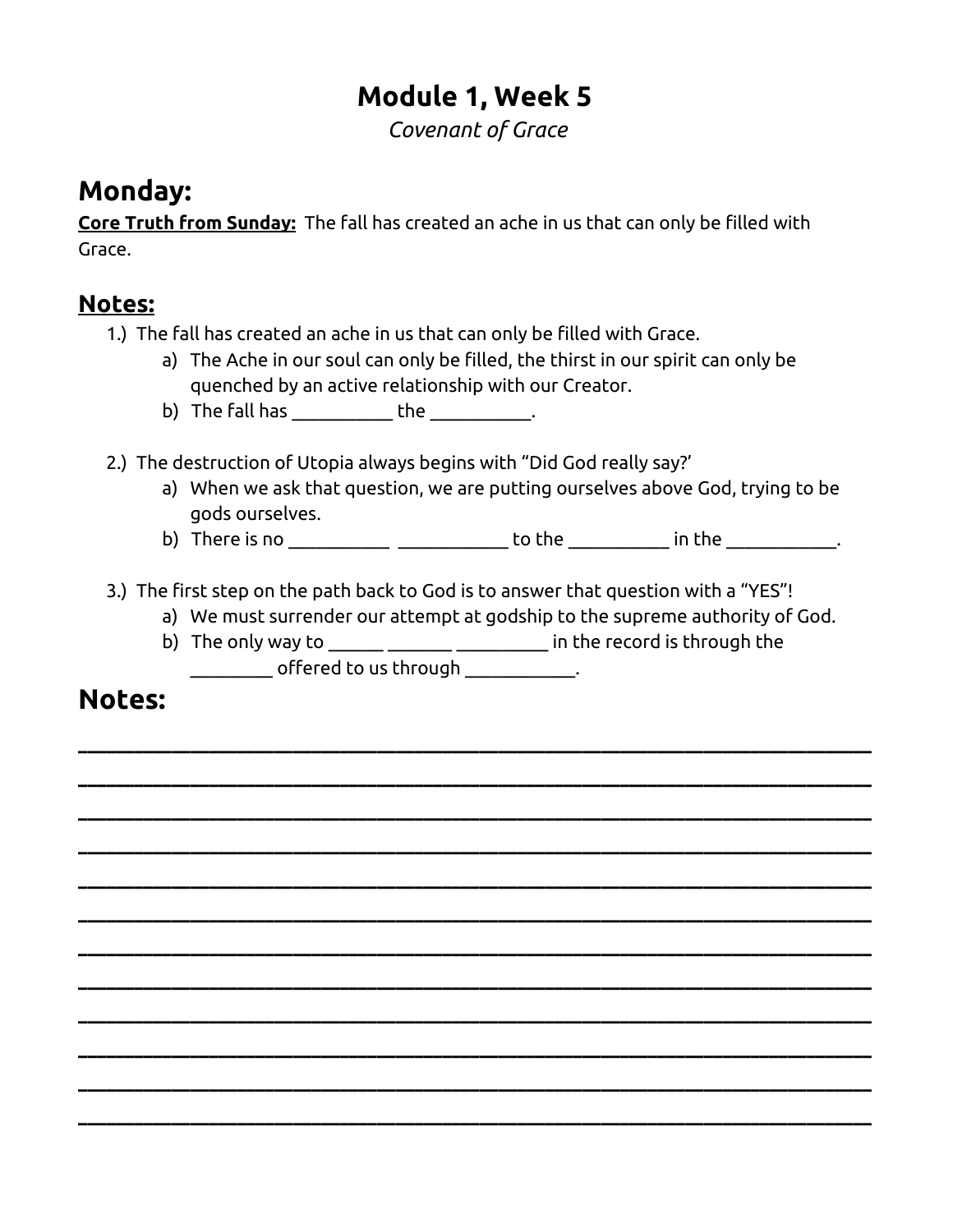# **Module 1, Week 5**

*Covenant of Grace*

# **Monday:**

**Core Truth from Sunday:** The fall has created an ache in us that can only be filled with Grace.

### **Notes:**

- 1.) The fall has created an ache in us that can only be filled with Grace.
	- a) The Ache in our soul can only be filled, the thirst in our spirit can only be quenched by an active relationship with our Creator.
	- b) The fall has  $\rule{1em}{0.15mm}$  the  $\rule{1.15mm}{0.15mm}$
- 2.) The destruction of Utopia always begins with "Did God really say?'
	- a) When we ask that question, we are putting ourselves above God, trying to be gods ourselves.
	- b) There is no \_\_\_\_\_\_\_\_\_\_ \_\_\_\_\_\_\_\_\_\_\_\_\_\_\_ to the \_\_\_\_\_\_\_\_\_\_\_\_ in the \_\_\_\_\_\_\_\_\_\_\_\_.
- 3.) The first step on the path back to God is to answer that question with a "YES"!
	- a) We must surrender our attempt at godship to the supreme authority of God.
	- b) The only way to **Exercise 2** in the record is through the  $\begin{array}{ccc} \hline \end{array}$  offered to us through  $\begin{array}{ccc} \hline \end{array}$

**\_\_\_\_\_\_\_\_\_\_\_\_\_\_\_\_\_\_\_\_\_\_\_\_\_\_\_\_\_\_\_\_\_\_\_\_\_\_\_\_\_\_\_\_\_\_\_\_\_\_\_\_\_\_\_\_\_\_\_\_\_\_\_\_\_\_\_\_\_\_\_\_\_\_\_\_\_\_\_\_\_\_\_\_\_**

**\_\_\_\_\_\_\_\_\_\_\_\_\_\_\_\_\_\_\_\_\_\_\_\_\_\_\_\_\_\_\_\_\_\_\_\_\_\_\_\_\_\_\_\_\_\_\_\_\_\_\_\_\_\_\_\_\_\_\_\_\_\_\_\_\_\_\_\_\_\_\_\_\_\_\_\_\_\_\_\_\_\_\_\_\_**

**\_\_\_\_\_\_\_\_\_\_\_\_\_\_\_\_\_\_\_\_\_\_\_\_\_\_\_\_\_\_\_\_\_\_\_\_\_\_\_\_\_\_\_\_\_\_\_\_\_\_\_\_\_\_\_\_\_\_\_\_\_\_\_\_\_\_\_\_\_\_\_\_\_\_\_\_\_\_\_\_\_\_\_\_\_**

**\_\_\_\_\_\_\_\_\_\_\_\_\_\_\_\_\_\_\_\_\_\_\_\_\_\_\_\_\_\_\_\_\_\_\_\_\_\_\_\_\_\_\_\_\_\_\_\_\_\_\_\_\_\_\_\_\_\_\_\_\_\_\_\_\_\_\_\_\_\_\_\_\_\_\_\_\_\_\_\_\_\_\_\_\_**

**\_\_\_\_\_\_\_\_\_\_\_\_\_\_\_\_\_\_\_\_\_\_\_\_\_\_\_\_\_\_\_\_\_\_\_\_\_\_\_\_\_\_\_\_\_\_\_\_\_\_\_\_\_\_\_\_\_\_\_\_\_\_\_\_\_\_\_\_\_\_\_\_\_\_\_\_\_\_\_\_\_\_\_\_\_**

**\_\_\_\_\_\_\_\_\_\_\_\_\_\_\_\_\_\_\_\_\_\_\_\_\_\_\_\_\_\_\_\_\_\_\_\_\_\_\_\_\_\_\_\_\_\_\_\_\_\_\_\_\_\_\_\_\_\_\_\_\_\_\_\_\_\_\_\_\_\_\_\_\_\_\_\_\_\_\_\_\_\_\_\_\_**

**\_\_\_\_\_\_\_\_\_\_\_\_\_\_\_\_\_\_\_\_\_\_\_\_\_\_\_\_\_\_\_\_\_\_\_\_\_\_\_\_\_\_\_\_\_\_\_\_\_\_\_\_\_\_\_\_\_\_\_\_\_\_\_\_\_\_\_\_\_\_\_\_\_\_\_\_\_\_\_\_\_\_\_\_\_**

**\_\_\_\_\_\_\_\_\_\_\_\_\_\_\_\_\_\_\_\_\_\_\_\_\_\_\_\_\_\_\_\_\_\_\_\_\_\_\_\_\_\_\_\_\_\_\_\_\_\_\_\_\_\_\_\_\_\_\_\_\_\_\_\_\_\_\_\_\_\_\_\_\_\_\_\_\_\_\_\_\_\_\_\_\_**

**\_\_\_\_\_\_\_\_\_\_\_\_\_\_\_\_\_\_\_\_\_\_\_\_\_\_\_\_\_\_\_\_\_\_\_\_\_\_\_\_\_\_\_\_\_\_\_\_\_\_\_\_\_\_\_\_\_\_\_\_\_\_\_\_\_\_\_\_\_\_\_\_\_\_\_\_\_\_\_\_\_\_\_\_\_**

**\_\_\_\_\_\_\_\_\_\_\_\_\_\_\_\_\_\_\_\_\_\_\_\_\_\_\_\_\_\_\_\_\_\_\_\_\_\_\_\_\_\_\_\_\_\_\_\_\_\_\_\_\_\_\_\_\_\_\_\_\_\_\_\_\_\_\_\_\_\_\_\_\_\_\_\_\_\_\_\_\_\_\_\_\_**

**\_\_\_\_\_\_\_\_\_\_\_\_\_\_\_\_\_\_\_\_\_\_\_\_\_\_\_\_\_\_\_\_\_\_\_\_\_\_\_\_\_\_\_\_\_\_\_\_\_\_\_\_\_\_\_\_\_\_\_\_\_\_\_\_\_\_\_\_\_\_\_\_\_\_\_\_\_\_\_\_\_\_\_\_\_**

**\_\_\_\_\_\_\_\_\_\_\_\_\_\_\_\_\_\_\_\_\_\_\_\_\_\_\_\_\_\_\_\_\_\_\_\_\_\_\_\_\_\_\_\_\_\_\_\_\_\_\_\_\_\_\_\_\_\_\_\_\_\_\_\_\_\_\_\_\_\_\_\_\_\_\_\_\_\_\_\_\_\_\_\_\_**

# **Notes:**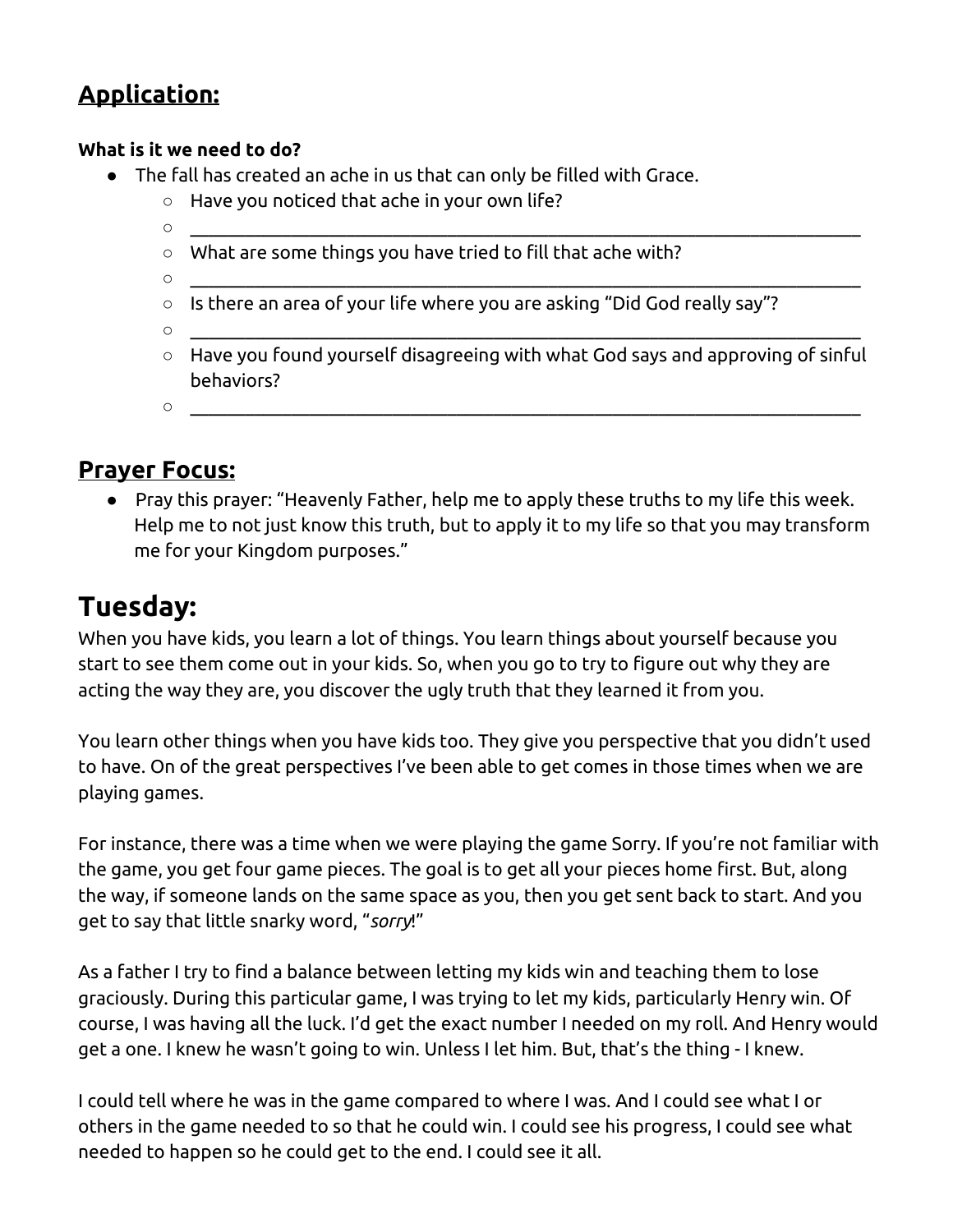# **Application:**

#### **What is it we need to do?**

- The fall has created an ache in us that can only be filled with Grace.
	- Have you noticed that ache in your own life?
	- \_\_\_\_\_\_\_\_\_\_\_\_\_\_\_\_\_\_\_\_\_\_\_\_\_\_\_\_\_\_\_\_\_\_\_\_\_\_\_\_\_\_\_\_\_\_\_\_\_\_\_\_\_\_\_\_\_\_\_\_\_\_\_\_\_\_\_\_\_\_\_\_\_
	- What are some things you have tried to fill that ache with?
	- \_\_\_\_\_\_\_\_\_\_\_\_\_\_\_\_\_\_\_\_\_\_\_\_\_\_\_\_\_\_\_\_\_\_\_\_\_\_\_\_\_\_\_\_\_\_\_\_\_\_\_\_\_\_\_\_\_\_\_\_\_\_\_\_\_\_\_\_\_\_\_\_\_
	- Is there an area of your life where you are asking "Did God really say"?
	- \_\_\_\_\_\_\_\_\_\_\_\_\_\_\_\_\_\_\_\_\_\_\_\_\_\_\_\_\_\_\_\_\_\_\_\_\_\_\_\_\_\_\_\_\_\_\_\_\_\_\_\_\_\_\_\_\_\_\_\_\_\_\_\_\_\_\_\_\_\_\_\_\_
	- Have you found yourself disagreeing with what God says and approving of sinful behaviors?
	- \_\_\_\_\_\_\_\_\_\_\_\_\_\_\_\_\_\_\_\_\_\_\_\_\_\_\_\_\_\_\_\_\_\_\_\_\_\_\_\_\_\_\_\_\_\_\_\_\_\_\_\_\_\_\_\_\_\_\_\_\_\_\_\_\_\_\_\_\_\_\_\_\_

### **Prayer Focus:**

● Pray this prayer: "Heavenly Father, help me to apply these truths to my life this week. Help me to not just know this truth, but to apply it to my life so that you may transform me for your Kingdom purposes."

# **Tuesday:**

When you have kids, you learn a lot of things. You learn things about yourself because you start to see them come out in your kids. So, when you go to try to figure out why they are acting the way they are, you discover the ugly truth that they learned it from you.

You learn other things when you have kids too. They give you perspective that you didn't used to have. On of the great perspectives I've been able to get comes in those times when we are playing games.

For instance, there was a time when we were playing the game Sorry. If you're not familiar with the game, you get four game pieces. The goal is to get all your pieces home first. But, along the way, if someone lands on the same space as you, then you get sent back to start. And you get to say that little snarky word, "*sorry*!"

As a father I try to find a balance between letting my kids win and teaching them to lose graciously. During this particular game, I was trying to let my kids, particularly Henry win. Of course, I was having all the luck. I'd get the exact number I needed on my roll. And Henry would get a one. I knew he wasn't going to win. Unless I let him. But, that's the thing - I knew.

I could tell where he was in the game compared to where I was. And I could see what I or others in the game needed to so that he could win. I could see his progress, I could see what needed to happen so he could get to the end. I could see it all.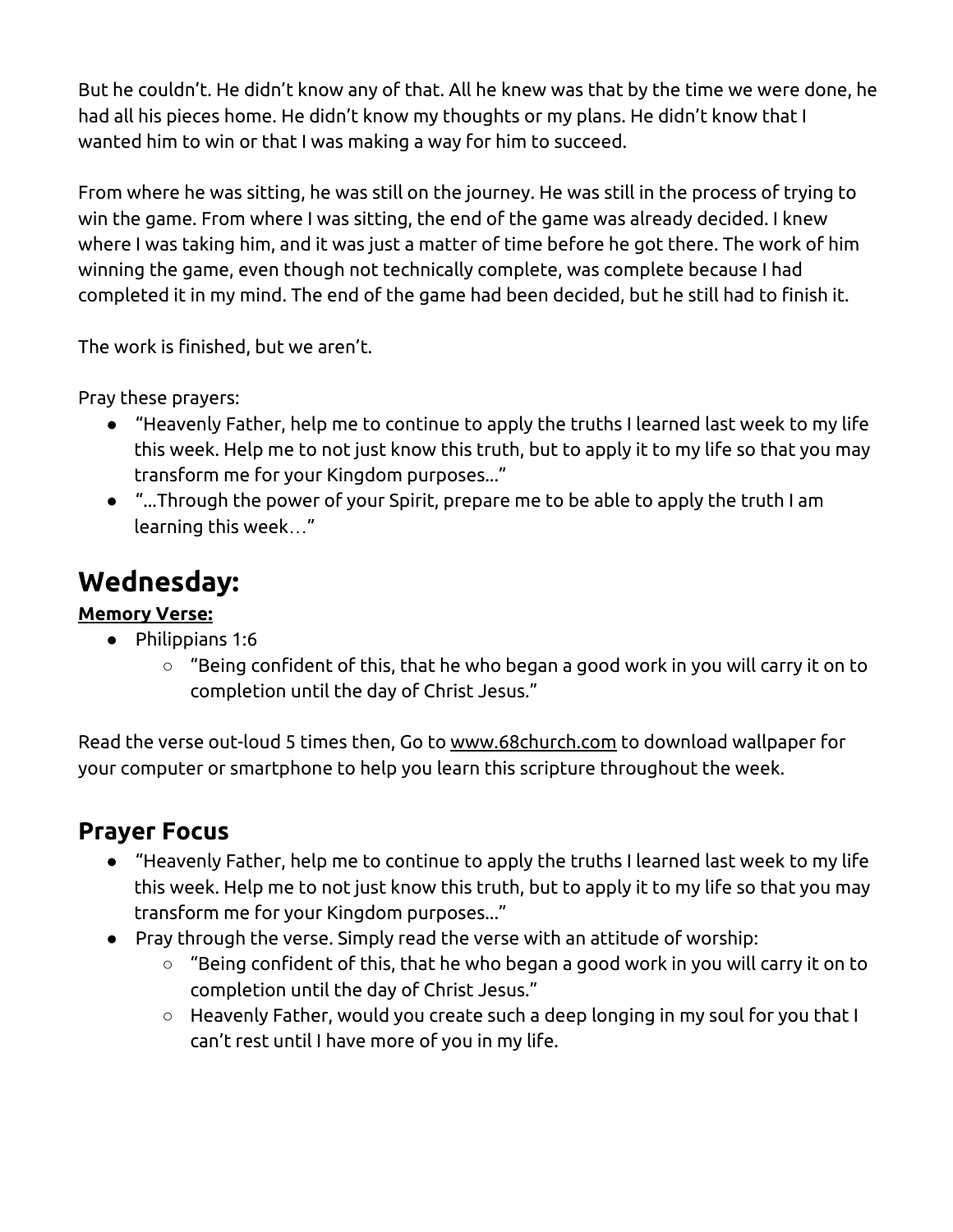But he couldn't. He didn't know any of that. All he knew was that by the time we were done, he had all his pieces home. He didn't know my thoughts or my plans. He didn't know that I wanted him to win or that I was making a way for him to succeed.

From where he was sitting, he was still on the journey. He was still in the process of trying to win the game. From where I was sitting, the end of the game was already decided. I knew where I was taking him, and it was just a matter of time before he got there. The work of him winning the game, even though not technically complete, was complete because I had completed it in my mind. The end of the game had been decided, but he still had to finish it.

The work is finished, but we aren't.

Pray these prayers:

- "Heavenly Father, help me to continue to apply the truths I learned last week to my life this week. Help me to not just know this truth, but to apply it to my life so that you may transform me for your Kingdom purposes..."
- "...Through the power of your Spirit, prepare me to be able to apply the truth I am learning this week…"

# **Wednesday:**

#### **Memory Verse:**

- Philippians 1:6
	- $\circ$  "Being confident of this, that he who began a good work in you will carry it on to completion until the day of Christ Jesus."

Read the verse out-loud 5 times then, Go to www.68church.com to download wallpaper for your computer or smartphone to help you learn this scripture throughout the week.

## **Prayer Focus**

- "Heavenly Father, help me to continue to apply the truths I learned last week to my life this week. Help me to not just know this truth, but to apply it to my life so that you may transform me for your Kingdom purposes..."
- Pray through the verse. Simply read the verse with an attitude of worship:
	- $\circ$  "Being confident of this, that he who began a good work in you will carry it on to completion until the day of Christ Jesus."
	- Heavenly Father, would you create such a deep longing in my soul for you that I can't rest until I have more of you in my life.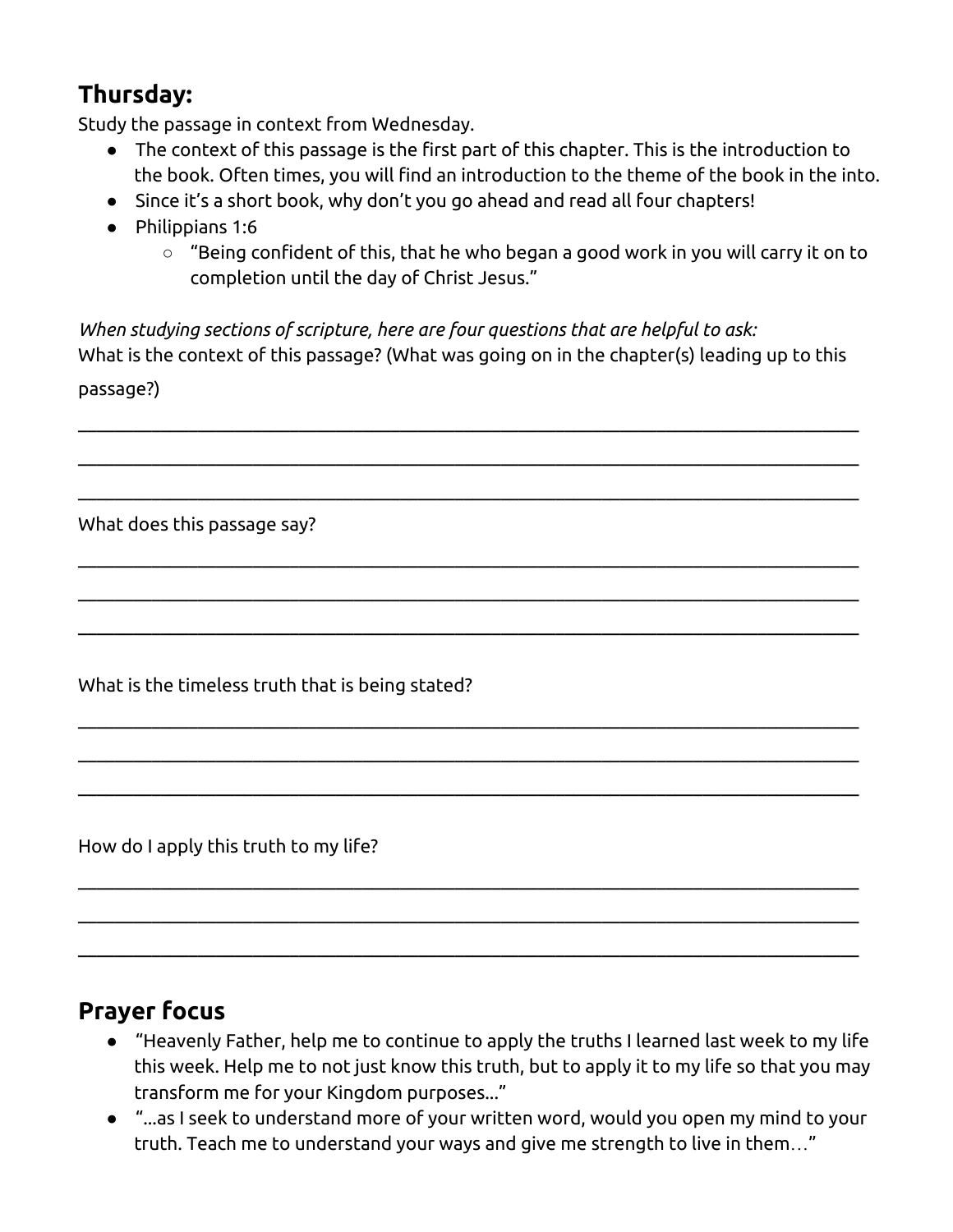# **Thursday:**

Study the passage in context from Wednesday.

- The context of this passage is the first part of this chapter. This is the introduction to the book. Often times, you will find an introduction to the theme of the book in the into.
- Since it's a short book, why don't you go ahead and read all four chapters!
- Philippians 1:6
	- $\circ$  "Being confident of this, that he who began a good work in you will carry it on to completion until the day of Christ Jesus."

*When studying sections of scripture, here are four questions that are helpful to ask:* What is the context of this passage? (What was going on in the chapter(s) leading up to this passage?)

 $\_$  , and the contribution of the contribution of the contribution of the contribution of the contribution of  $\mathcal{L}_\text{max}$ 

 $\_$  , and the contribution of the contribution of the contribution of the contribution of the contribution of  $\mathcal{L}_\text{max}$ 

 $\_$  , and the contribution of the contribution of the contribution of the contribution of the contribution of  $\mathcal{L}_\text{max}$ 

 $\_$  , and the contribution of the contribution of the contribution of the contribution of the contribution of  $\mathcal{L}_\text{max}$ 

 $\_$  , and the contribution of the contribution of the contribution of the contribution of the contribution of  $\mathcal{L}_\text{max}$ 

 $\_$  , and the contribution of the contribution of the contribution of the contribution of the contribution of  $\mathcal{L}_\text{max}$ 

 $\_$  , and the contribution of the contribution of the contribution of the contribution of the contribution of  $\mathcal{L}_\text{max}$ 

 $\_$  , and the contribution of the contribution of the contribution of the contribution of the contribution of  $\mathcal{L}_\text{max}$ 

 $\_$  , and the contribution of the contribution of the contribution of the contribution of the contribution of  $\mathcal{L}_\text{max}$ 

 $\_$  , and the contribution of the contribution of the contribution of the contribution of the contribution of  $\mathcal{L}_\text{max}$ 

 $\_$  , and the contribution of the contribution of the contribution of the contribution of the contribution of  $\mathcal{L}_\text{max}$ 

 $\_$  , and the contribution of the contribution of the contribution of the contribution of the contribution of  $\mathcal{L}_\text{max}$ 

What does this passage say?

What is the timeless truth that is being stated?

How do I apply this truth to my life?

### **Prayer focus**

- "Heavenly Father, help me to continue to apply the truths I learned last week to my life this week. Help me to not just know this truth, but to apply it to my life so that you may transform me for your Kingdom purposes..."
- "...as I seek to understand more of your written word, would you open my mind to your truth. Teach me to understand your ways and give me strength to live in them…"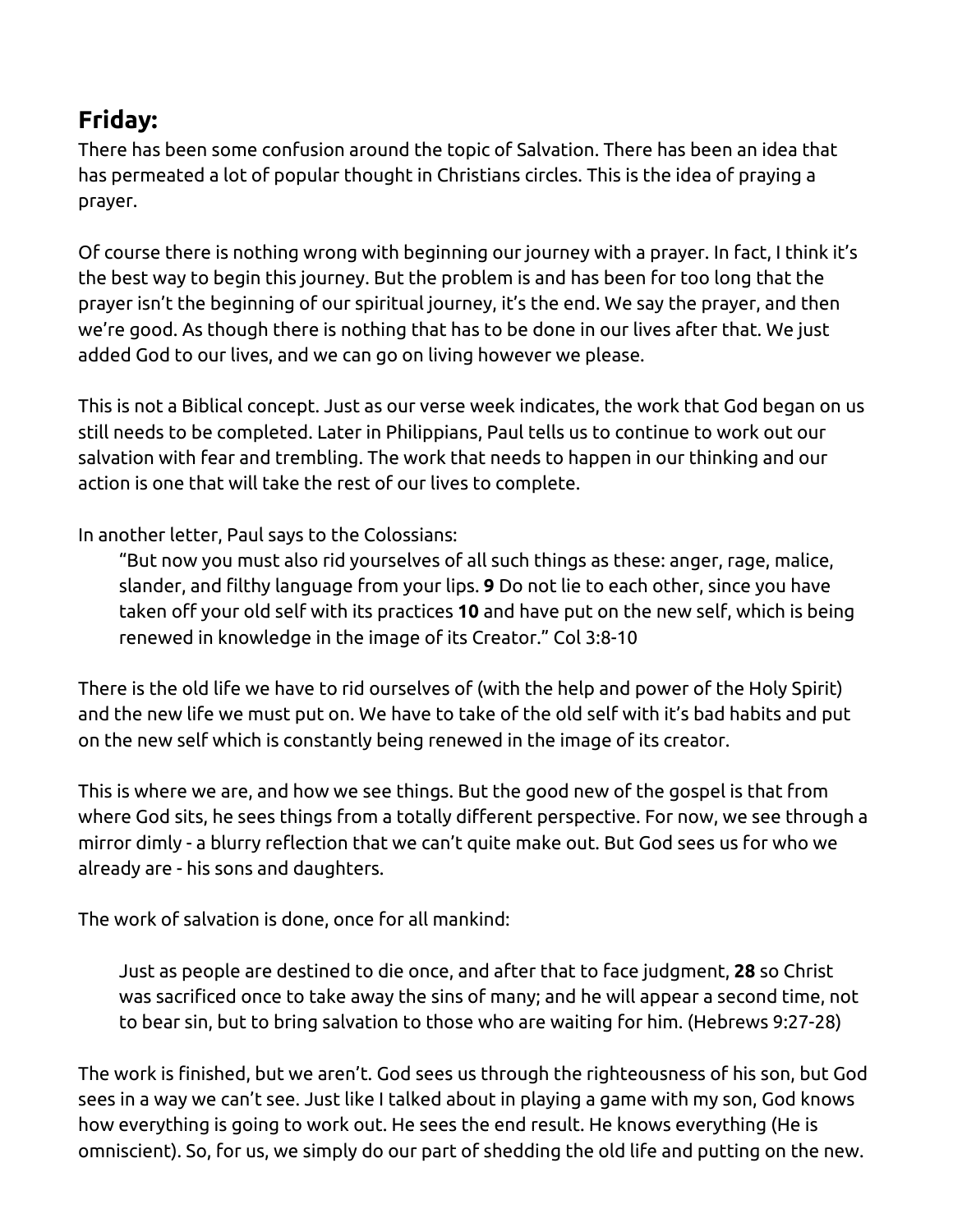# **Friday:**

There has been some confusion around the topic of Salvation. There has been an idea that has permeated a lot of popular thought in Christians circles. This is the idea of praying a prayer.

Of course there is nothing wrong with beginning our journey with a prayer. In fact, I think it's the best way to begin this journey. But the problem is and has been for too long that the prayer isn't the beginning of our spiritual journey, it's the end. We say the prayer, and then we're good. As though there is nothing that has to be done in our lives after that. We just added God to our lives, and we can go on living however we please.

This is not a Biblical concept. Just as our verse week indicates, the work that God began on us still needs to be completed. Later in Philippians, Paul tells us to continue to work out our salvation with fear and trembling. The work that needs to happen in our thinking and our action is one that will take the rest of our lives to complete.

In another letter, Paul says to the Colossians:

"But now you must also rid yourselves of all such things as these: anger, rage, malice, slander, and filthy language from your lips. **9** Do not lie to each other, since you have taken off your old self with its practices **10** and have put on the new self, which is being renewed in knowledge in the image of its Creator." Col 3:8-10

There is the old life we have to rid ourselves of (with the help and power of the Holy Spirit) and the new life we must put on. We have to take of the old self with it's bad habits and put on the new self which is constantly being renewed in the image of its creator.

This is where we are, and how we see things. But the good new of the gospel is that from where God sits, he sees things from a totally different perspective. For now, we see through a mirror dimly - a blurry reflection that we can't quite make out. But God sees us for who we already are - his sons and daughters.

The work of salvation is done, once for all mankind:

Just as people are destined to die once, and after that to face judgment, **28** so Christ was sacrificed once to take away the sins of many; and he will appear a second time, not to bear sin, but to bring salvation to those who are waiting for him. (Hebrews 9:27-28)

The work is finished, but we aren't. God sees us through the righteousness of his son, but God sees in a way we can't see. Just like I talked about in playing a game with my son, God knows how everything is going to work out. He sees the end result. He knows everything (He is omniscient). So, for us, we simply do our part of shedding the old life and putting on the new.